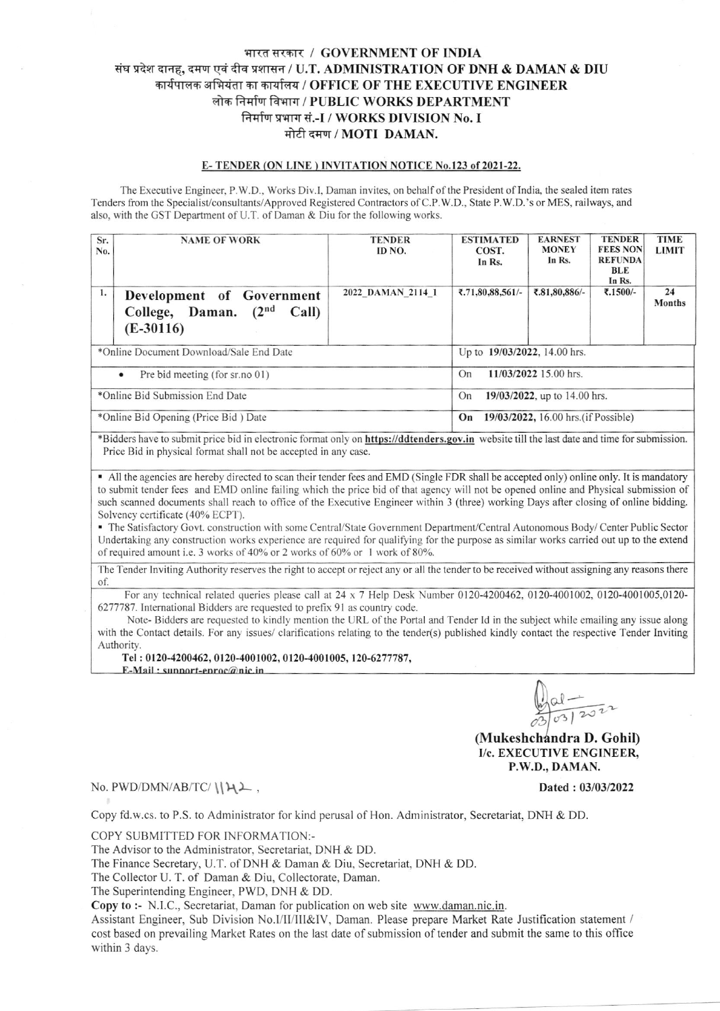## भारत सरकार / GOVERNMENT OF INDIA संघ प्रदेश दानह, दमण एवं दीव प्रशासन / U.T. ADMINISTRATION OF DNH & DAMAN & DIU कार्यपालक अभियंता का कार्यालय / OFFICE OF THE EXECUTIVE ENGINEER लोक निर्माण विभाग / PUBLIC WORKS DEPARTMENT निर्माण प्रभाग सं.-I / WORKS DIVISION No. I मोटी दमण / MOTI DAMAN.

## E-TENDER (ON LINE) INVITATION NOTICE No.123 of 2021-22.

The Executive Engineer, P.W.D., Works Div.I, Daman invites, on behalf of the President of India, the sealed item rates Tenders from the Specialist/consultants/Approved Registered Contractors of C.P.W.D., State P.W.D.'s or MES, railways, and also, with the GST Department of U.T. of Daman & Diu for the following works.

| Sr.<br>No.                                   | <b>NAME OF WORK</b>                                                                      | <b>TENDER</b><br>ID NO.      | <b>ESTIMATED</b><br>COST.<br>In Rs.        | <b>EARNEST</b><br><b>MONEY</b><br>In Rs. | <b>TENDER</b><br><b>FEES NON</b><br><b>REFUNDA</b><br>BLE<br>In Rs. | <b>TIME</b><br><b>LIMIT</b> |  |
|----------------------------------------------|------------------------------------------------------------------------------------------|------------------------------|--------------------------------------------|------------------------------------------|---------------------------------------------------------------------|-----------------------------|--|
| 1.                                           | Development of Government<br>(2 <sup>nd</sup><br>College, Daman.<br>Call)<br>$(E-30116)$ | 2022 DAMAN 2114 1            | ₹.71,80,88,561/-                           | ₹.81,80,886/-                            | ₹.1500/                                                             | 24<br><b>Months</b>         |  |
|                                              | *Online Document Download/Sale End Date                                                  | Up to 19/03/2022, 14.00 hrs. |                                            |                                          |                                                                     |                             |  |
| Pre bid meeting (for sr. no 01)<br>$\bullet$ |                                                                                          |                              | 11/03/2022 15.00 hrs.<br>On                |                                          |                                                                     |                             |  |
| *Online Bid Submission End Date              |                                                                                          |                              | 19/03/2022, up to 14.00 hrs.<br>On         |                                          |                                                                     |                             |  |
| *Online Bid Opening (Price Bid) Date         |                                                                                          |                              | 19/03/2022, 16.00 hrs. (if Possible)<br>On |                                          |                                                                     |                             |  |

\*Bidders have to submit price bid in electronic format only on https://ddtenders.gov.in website till the last date and time for submission. Price Bid in physical format shall not be accepted in any case.

• All the agencies are hereby directed to scan their tender fees and EMD (Single FDR shall be accepted only) online only. It is mandatory to submit tender fees and EMD online failing which the price bid of that agency will not be opened online and Physical submission of such scanned documents shall reach to office of the Executive Engineer within 3 (three) working Days after closing of online bidding. Solvency certificate (40% ECPT).

- The Satisfactory Govt. construction with some Central/State Government Department/Central Autonomous Body/ Center Public Sector Undertaking any construction works experience are required for qualifying for the purpose as similar works carried out up to the extend of required amount i.e. 3 works of 40% or 2 works of 60% or 1 work of 80%.

The Tender Inviting Authority reserves the right to accept or reject any or all the tender to be received without assigning any reasons there of.

For any technical related queries please call at 24 x 7 Help Desk Number 0120-4200462, 0120-4001002, 0120-4001005,0120-6277787. International Bidders are requested to prefix 91 as country code.

Note-Bidders are requested to kindly mention the URL of the Portal and Tender Id in the subject while emailing any issue along with the Contact details. For any issues/ clarifications relating to the tender(s) published kindly contact the respective Tender Inviting Authority.

Tel: 0120-4200462, 0120-4001002, 0120-4001005, 120-6277787,

E-Mail: sunnort-enroc@nic.in

Dated: 03/03/2022

(Mukeshchandra D. Gohil) I/c. EXECUTIVE ENGINEER. P.W.D., DAMAN.

No. PWD/DMN/AB/TC/ $\left(\frac{1}{4}\right)$ ,

Copy fd.w.cs. to P.S. to Administrator for kind perusal of Hon. Administrator, Secretariat, DNH & DD.

COPY SUBMITTED FOR INFORMATION:-

The Advisor to the Administrator, Secretariat, DNH & DD.

The Finance Secretary, U.T. of DNH & Daman & Diu, Secretariat, DNH & DD.

The Collector U. T. of Daman & Diu, Collectorate, Daman.

The Superintending Engineer, PWD, DNH & DD.

Copy to :- N.I.C., Secretariat, Daman for publication on web site www.daman.nic.in.

Assistant Engineer, Sub Division No.I/II/III&IV, Daman. Please prepare Market Rate Justification statement / cost based on prevailing Market Rates on the last date of submission of tender and submit the same to this office within 3 days.